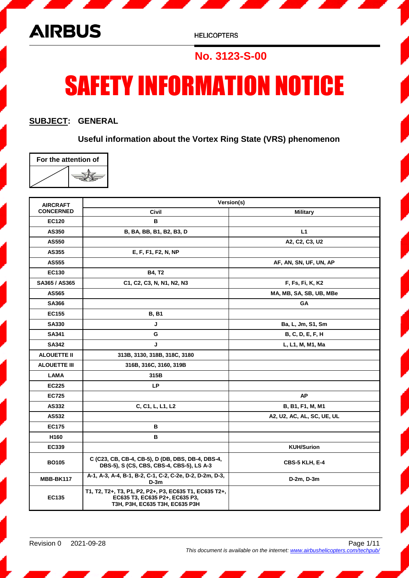

## **No. 3123-S-00**

# SAFETY INFORMATION NOTICE

### **SUBJECT: GENERAL**

**Useful information about the Vortex Ring State (VRS) phenomenon**

| For the attention of |  |  |
|----------------------|--|--|
|                      |  |  |

| <b>AIRCRAFT</b>     | Version(s)                                                                                                                 |                            |  |
|---------------------|----------------------------------------------------------------------------------------------------------------------------|----------------------------|--|
| <b>CONCERNED</b>    | Civil                                                                                                                      | <b>Military</b>            |  |
| <b>EC120</b>        | в                                                                                                                          |                            |  |
| AS350               | B, BA, BB, B1, B2, B3, D                                                                                                   | L1                         |  |
| AS550               |                                                                                                                            | A2, C2, C3, U2             |  |
| AS355               | E, F, F1, F2, N, NP                                                                                                        |                            |  |
| AS555               |                                                                                                                            | AF, AN, SN, UF, UN, AP     |  |
| <b>EC130</b>        | <b>B4, T2</b>                                                                                                              |                            |  |
| SA365 / AS365       | C1, C2, C3, N, N1, N2, N3                                                                                                  | F, Fs, Fi, K, K2           |  |
| AS565               |                                                                                                                            | MA, MB, SA, SB, UB, MBe    |  |
| <b>SA366</b>        |                                                                                                                            | GА                         |  |
| EC155               | <b>B, B1</b>                                                                                                               |                            |  |
| <b>SA330</b>        | J                                                                                                                          | Ba, L, Jm, S1, Sm          |  |
| SA341               | G                                                                                                                          | B, C, D, E, F, H           |  |
| SA342               | J                                                                                                                          | L, L1, M, M1, Ma           |  |
| <b>ALOUETTE II</b>  | 313B, 3130, 318B, 318C, 3180                                                                                               |                            |  |
| <b>ALOUETTE III</b> | 316B, 316C, 3160, 319B                                                                                                     |                            |  |
| <b>LAMA</b>         | 315B                                                                                                                       |                            |  |
| <b>EC225</b>        | <b>LP</b>                                                                                                                  |                            |  |
| <b>EC725</b>        |                                                                                                                            | <b>AP</b>                  |  |
| AS332               | C, C1, L, L1, L2                                                                                                           | B, B1, F1, M, M1           |  |
| AS532               |                                                                                                                            | A2, U2, AC, AL, SC, UE, UL |  |
| <b>EC175</b>        | в                                                                                                                          |                            |  |
| H <sub>160</sub>    | в                                                                                                                          |                            |  |
| EC339               |                                                                                                                            | <b>KUH/Surion</b>          |  |
| <b>BO105</b>        | C (C23, CB, CB-4, CB-5), D (DB, DBS, DB-4, DBS-4,<br>DBS-5), S (CS, CBS, CBS-4, CBS-5), LS A-3                             | CBS-5 KLH, E-4             |  |
| MBB-BK117           | A-1, A-3, A-4, B-1, B-2, C-1, C-2, C-2e, D-2, D-2m, D-3,<br>$D-3m$                                                         | D-2m, D-3m                 |  |
| EC135               | T1, T2, T2+, T3, P1, P2, P2+, P3, EC635 T1, EC635 T2+,<br>EC635 T3, EC635 P2+, EC635 P3,<br>T3H, P3H, EC635 T3H, EC635 P3H |                            |  |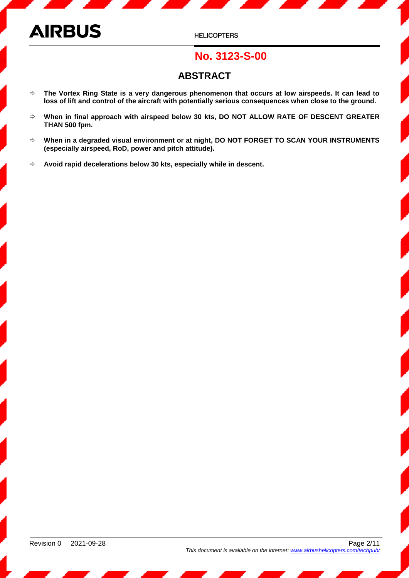**HELICOPTERS** 

## **No. 3123-S-00**

## **ABSTRACT**

- **The Vortex Ring State is a very dangerous phenomenon that occurs at low airspeeds. It can lead to loss of lift and control of the aircraft with potentially serious consequences when close to the ground.**
- **When in final approach with airspeed below 30 kts, DO NOT ALLOW RATE OF DESCENT GREATER THAN 500 fpm.**
- **When in a degraded visual environment or at night, DO NOT FORGET TO SCAN YOUR INSTRUMENTS (especially airspeed, RoD, power and pitch attitude).**
- **Avoid rapid decelerations below 30 kts, especially while in descent.**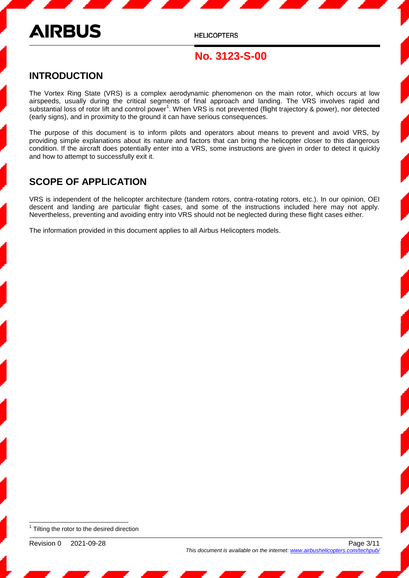**HELICOPTERS** 

## **No. 3123-S-00**

### **INTRODUCTION**

The Vortex Ring State (VRS) is a complex aerodynamic phenomenon on the main rotor, which occurs at low airspeeds, usually during the critical segments of final approach and landing. The VRS involves rapid and substantial loss of rotor lift and control power<sup>1</sup>. When VRS is not prevented (flight trajectory & power), nor detected (early signs), and in proximity to the ground it can have serious consequences.

The purpose of this document is to inform pilots and operators about means to prevent and avoid VRS, by providing simple explanations about its nature and factors that can bring the helicopter closer to this dangerous condition. If the aircraft does potentially enter into a VRS, some instructions are given in order to detect it quickly and how to attempt to successfully exit it.

### **SCOPE OF APPLICATION**

VRS is independent of the helicopter architecture (tandem rotors, contra-rotating rotors, etc.). In our opinion, OEI descent and landing are particular flight cases, and some of the instructions included here may not apply. Nevertheless, preventing and avoiding entry into VRS should not be neglected during these flight cases either.

The information provided in this document applies to all Airbus Helicopters models.

 $\overline{\phantom{a}}$  $1$  Tilting the rotor to the desired direction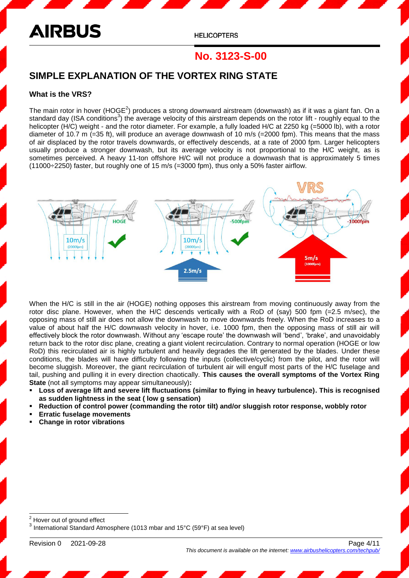**HELICOPTERS** 

## **No. 3123-S-00**

### **SIMPLE EXPLANATION OF THE VORTEX RING STATE**

#### **What is the VRS?**

The main rotor in hover (HOGE<sup>2</sup>) produces a strong downward airstream (downwash) as if it was a giant fan. On a standard day (ISA conditions<sup>3</sup>) the average velocity of this airstream depends on the rotor lift - roughly equal to the helicopter (H/C) weight - and the rotor diameter. For example, a fully loaded H/C at 2250 kg (=5000 lb), with a rotor diameter of 10.7 m (=35 ft), will produce an average downwash of 10 m/s (=2000 fpm). This means that the mass of air displaced by the rotor travels downwards, or effectively descends, at a rate of 2000 fpm. Larger helicopters usually produce a stronger downwash, but its average velocity is not proportional to the H/C weight, as is sometimes perceived. A heavy 11-ton offshore H/C will not produce a downwash that is approximately 5 times (11000÷2250) faster, but roughly one of 15 m/s (=3000 fpm), thus only a 50% faster airflow.



When the H/C is still in the air (HOGE) nothing opposes this airstream from moving continuously away from the rotor disc plane. However, when the H/C descends vertically with a RoD of (say) 500 fpm  $(=2.5 \text{ m/sec})$ , the opposing mass of still air does not allow the downwash to move downwards freely. When the RoD increases to a value of about half the H/C downwash velocity in hover, i.e. 1000 fpm, then the opposing mass of still air will effectively block the rotor downwash. Without any 'escape route' the downwash will 'bend', 'brake', and unavoidably return back to the rotor disc plane, creating a giant violent recirculation. Contrary to normal operation (HOGE or low RoD) this recirculated air is highly turbulent and heavily degrades the lift generated by the blades. Under these conditions, the blades will have difficulty following the inputs (collective/cyclic) from the pilot, and the rotor will become sluggish. Moreover, the giant recirculation of turbulent air will engulf most parts of the H/C fuselage and tail, pushing and pulling it in every direction chaotically. **This causes the overall symptoms of the Vortex Ring State** (not all symptoms may appear simultaneously)**:**

- **Loss of average lift and severe lift fluctuations (similar to flying in heavy turbulence). This is recognised as sudden lightness in the seat ( low g sensation)**
- **Reduction of control power (commanding the rotor tilt) and/or sluggish rotor response, wobbly rotor**
- **Erratic fuselage movements**
- **Change in rotor vibrations**

<sup>2</sup> Hover out of ground effect  $^3$  International Standard Atmosphere (1013 mbar and 15°C (59°F) at sea level)

Revision 0 2021-09-28 Page 4/11

l

*This document is available on the internet: www.airbushelicopters*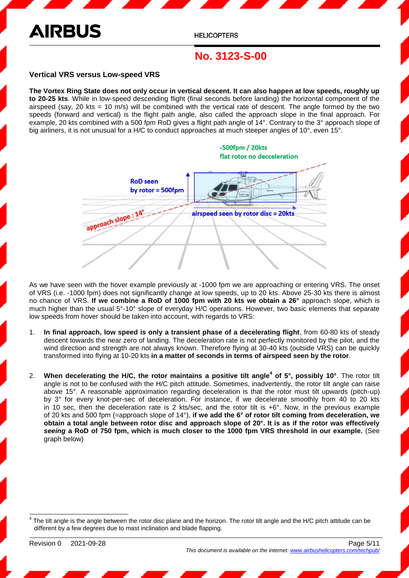**HELICOPTERS** 

## **No. 3123-S-00**

#### **Vertical VRS versus Low-speed VRS**

**The Vortex Ring State does not only occur in vertical descent. It can also happen at low speeds, roughly up to 20-25 kts**. While in low-speed descending flight (final seconds before landing) the horizontal component of the airspeed (say, 20 kts = 10 m/s) will be combined with the vertical rate of descent. The angle formed by the two speeds (forward and vertical) is the flight path angle, also called the approach slope in the final approach. For example, 20 kts combined with a 500 fpm RoD gives a flight path angle of 14°. Contrary to the 3° approach slope of big airliners, it is not unusual for a H/C to conduct approaches at much steeper angles of 10°, even 15°.



As we have seen with the hover example previously at -1000 fpm we are approaching or entering VRS. The onset of VRS (i.e. -1000 fpm) does not significantly change at low speeds, up to 20 kts. Above 25-30 kts there is almost no chance of VRS. **If we combine a RoD of 1000 fpm with 20 kts we obtain a 26°** approach slope, which is much higher than the usual 5°-10° slope of everyday H/C operations. However, two basic elements that separate low speeds from hover should be taken into account, with regards to VRS:

- 1. **In final approach, low speed is only a transient phase of a decelerating flight**, from 60-80 kts of steady descent towards the near zero of landing. The deceleration rate is not perfectly monitored by the pilot, and the wind direction and strength are not always known. Therefore flying at 30-40 kts (outside VRS) can be quickly transformed into flying at 10-20 kts **in a matter of seconds in terms of airspeed seen by the rotor**.
- 2. **When decelerating the H/C, the rotor maintains a positive tilt angle<sup>4</sup> of 5°, possibly 10°**. The rotor tilt angle is not to be confused with the H/C pitch attitude. Sometimes, inadvertently, the rotor tilt angle can raise above 15°. A reasonable approximation regarding deceleration is that the rotor must tilt upwards (pitch-up) by 3° for every knot-per-sec of deceleration. For instance, if we decelerate smoothly from 40 to 20 kts in 10 sec, then the deceleration rate is 2 kts/sec, and the rotor tilt is  $+6^{\circ}$ . Now, in the previous example of 20 kts and 500 fpm (=approach slope of 14°), **if we add the 6° of rotor tilt coming from deceleration, we obtain a total angle between rotor disc and approach slope of 20°. It is as if the rotor was effectively**  *seeing* **a RoD of 750 fpm, which is much closer to the 1000 fpm VRS threshold in our example.** (See graph below)

4 The tilt angle is the angle between the rotor disc plane and the horizon. The rotor tilt angle and the H/C pitch attitude can be different by a few degrees due to mast inclination and blade flapping.

l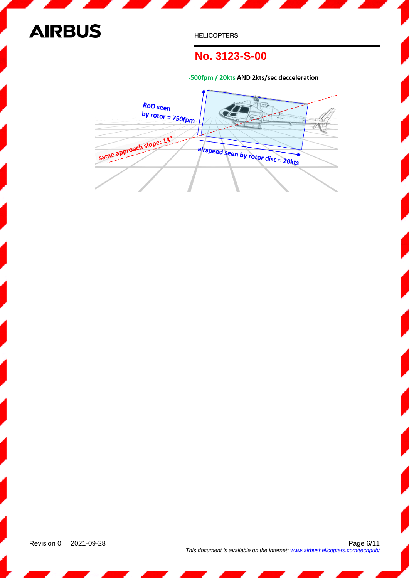

## **No. 3123-S-00**

-500fpm / 20kts AND 2kts/sec decceleration

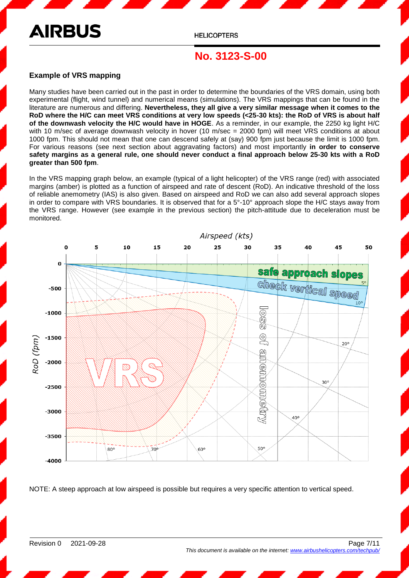**HELICOPTERS** 

## **No. 3123-S-00**

#### **Example of VRS mapping**

Many studies have been carried out in the past in order to determine the boundaries of the VRS domain, using both experimental (flight, wind tunnel) and numerical means (simulations). The VRS mappings that can be found in the literature are numerous and differing. **Nevertheless, they all give a very similar message when it comes to the RoD where the H/C can meet VRS conditions at very low speeds (<25-30 kts): the RoD of VRS is about half of the downwash velocity the H/C would have in HOGE**. As a reminder, in our example, the 2250 kg light H/C with 10 m/sec of average downwash velocity in hover (10 m/sec = 2000 fpm) will meet VRS conditions at about 1000 fpm. This should not mean that one can descend safely at (say) 900 fpm just because the limit is 1000 fpm. For various reasons (see next section about aggravating factors) and most importantly **in order to conserve safety margins as a general rule, one should never conduct a final approach below 25-30 kts with a RoD greater than 500 fpm**.

In the VRS mapping graph below, an example (typical of a light helicopter) of the VRS range (red) with associated margins (amber) is plotted as a function of airspeed and rate of descent (RoD). An indicative threshold of the loss of reliable anemometry (IAS) is also given. Based on airspeed and RoD we can also add several approach slopes in order to compare with VRS boundaries. It is observed that for a 5°-10° approach slope the H/C stays away from the VRS range. However (see example in the previous section) the pitch-attitude due to deceleration must be monitored.



NOTE: A steep approach at low airspeed is possible but requires a very specific attention to vertical speed.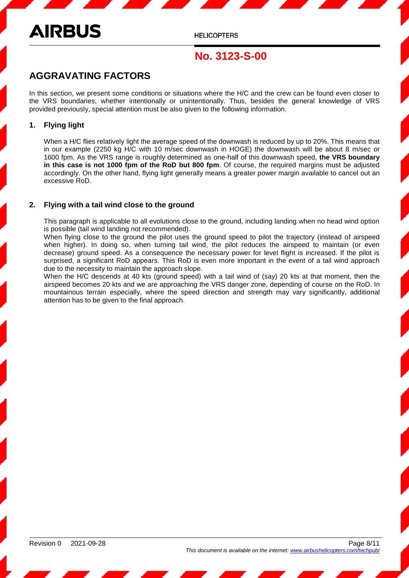## **AIRBUS**

## **No. 3123-S-00**

## **AGGRAVATING FACTORS**

In this section, we present some conditions or situations where the H/C and the crew can be found even closer to the VRS boundaries, whether intentionally or unintentionally. Thus, besides the general knowledge of VRS provided previously, special attention must be also given to the following information.

#### **1. Flying light**

When a H/C flies relatively light the average speed of the downwash is reduced by up to 20%. This means that in our example (2250 kg H/C with 10 m/sec downwash in HOGE) the downwash will be about 8 m/sec or 1600 fpm. As the VRS range is roughly determined as one-half of this downwash speed, **the VRS boundary in this case is not 1000 fpm of the RoD but 800 fpm**. Of course, the required margins must be adjusted accordingly. On the other hand, flying light generally means a greater power margin available to cancel out an excessive RoD.

#### **2. Flying with a tail wind close to the ground**

This paragraph is applicable to all evolutions close to the ground, including landing when no head wind option is possible (tail wind landing not recommended).

When flying close to the ground the pilot uses the ground speed to pilot the trajectory (instead of airspeed when higher). In doing so, when turning tail wind, the pilot reduces the airspeed to maintain (or even decrease) ground speed. As a consequence the necessary power for level flight is increased. If the pilot is surprised, a significant RoD appears. This RoD is even more important in the event of a tail wind approach due to the necessity to maintain the approach slope.

When the H/C descends at 40 kts (ground speed) with a tail wind of (say) 20 kts at that moment, then the airspeed becomes 20 kts and we are approaching the VRS danger zone, depending of course on the RoD. In mountainous terrain especially, where the speed direction and strength may vary significantly, additional attention has to be given to the final approach.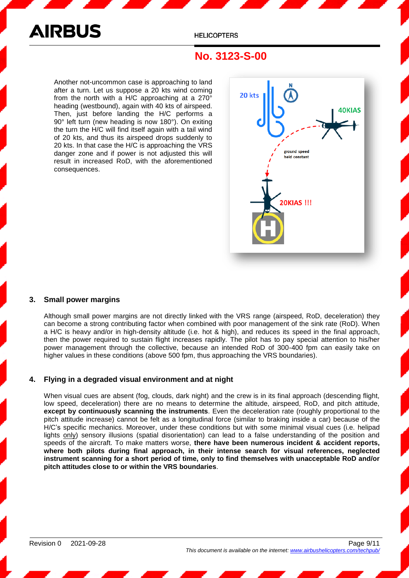

## **No. 3123-S-00**

Another not-uncommon case is approaching to land after a turn. Let us suppose a 20 kts wind coming from the north with a H/C approaching at a 270° heading (westbound), again with 40 kts of airspeed. Then, just before landing the H/C performs a 90° left turn (new heading is now 180°). On exiting the turn the H/C will find itself again with a tail wind of 20 kts, and thus its airspeed drops suddenly to 20 kts. In that case the H/C is approaching the VRS danger zone and if power is not adjusted this will result in increased RoD, with the aforementioned consequences.



#### **3. Small power margins**

Although small power margins are not directly linked with the VRS range (airspeed, RoD, deceleration) they can become a strong contributing factor when combined with poor management of the sink rate (RoD). When a H/C is heavy and/or in high-density altitude (i.e. hot & high), and reduces its speed in the final approach, then the power required to sustain flight increases rapidly. The pilot has to pay special attention to his/her power management through the collective, because an intended RoD of 300-400 fpm can easily take on higher values in these conditions (above 500 fpm, thus approaching the VRS boundaries).

#### **4. Flying in a degraded visual environment and at night**

When visual cues are absent (fog, clouds, dark night) and the crew is in its final approach (descending flight, low speed, deceleration) there are no means to determine the altitude, airspeed, RoD, and pitch attitude, **except by continuously scanning the instruments**. Even the deceleration rate (roughly proportional to the pitch attitude increase) cannot be felt as a longitudinal force (similar to braking inside a car) because of the H/C's specific mechanics. Moreover, under these conditions but with some minimal visual cues (i.e. helipad lights only) sensory illusions (spatial disorientation) can lead to a false understanding of the position and speeds of the aircraft. To make matters worse, **there have been numerous incident & accident reports, where both pilots during final approach, in their intense search for visual references, neglected instrument scanning for a short period of time, only to find themselves with unacceptable RoD and/or pitch attitudes close to or within the VRS boundaries**.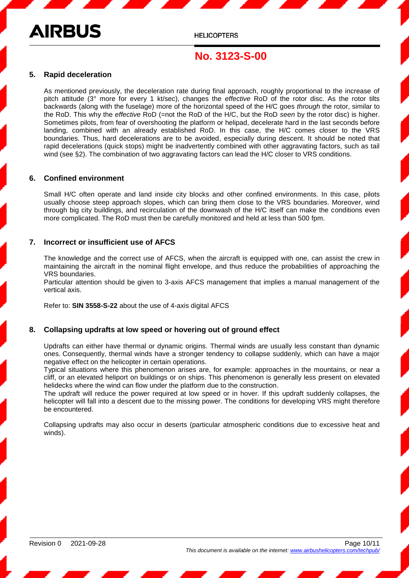**HELICOPTERS** 

## **No. 3123-S-00**

#### **5. Rapid deceleration**

As mentioned previously, the deceleration rate during final approach, roughly proportional to the increase of pitch attitude (3° more for every 1 kt/sec), changes the *effective* RoD of the rotor disc. As the rotor tilts backwards (along with the fuselage) more of the horizontal speed of the H/C goes *through* the rotor, similar to the RoD. This why the *effective* RoD (=not the RoD of the H/C, but the RoD *seen* by the rotor disc) is higher. Sometimes pilots, from fear of overshooting the platform or helipad, decelerate hard in the last seconds before landing, combined with an already established RoD. In this case, the H/C comes closer to the VRS boundaries. Thus, hard decelerations are to be avoided, especially during descent. It should be noted that rapid decelerations (quick stops) might be inadvertently combined with other aggravating factors, such as tail wind (see §2). The combination of two aggravating factors can lead the H/C closer to VRS conditions.

#### **6. Confined environment**

Small H/C often operate and land inside city blocks and other confined environments. In this case, pilots usually choose steep approach slopes, which can bring them close to the VRS boundaries. Moreover, wind through big city buildings, and recirculation of the downwash of the H/C itself can make the conditions even more complicated. The RoD must then be carefully monitored and held at less than 500 fpm.

#### **7. Incorrect or insufficient use of AFCS**

The knowledge and the correct use of AFCS, when the aircraft is equipped with one, can assist the crew in maintaining the aircraft in the nominal flight envelope, and thus reduce the probabilities of approaching the VRS boundaries.

Particular attention should be given to 3-axis AFCS management that implies a manual management of the vertical axis.

Refer to: **SIN 3558-S-22** about the use of 4-axis digital AFCS

#### **8. Collapsing updrafts at low speed or hovering out of ground effect**

Updrafts can either have thermal or dynamic origins. Thermal winds are usually less constant than dynamic ones. Consequently, thermal winds have a stronger tendency to collapse suddenly, which can have a major negative effect on the helicopter in certain operations.

Typical situations where this phenomenon arises are, for example: approaches in the mountains, or near a cliff, or an elevated heliport on buildings or on ships. This phenomenon is generally less present on elevated helidecks where the wind can flow under the platform due to the construction.

The updraft will reduce the power required at low speed or in hover. If this updraft suddenly collapses, the helicopter will fall into a descent due to the missing power. The conditions for developing VRS might therefore be encountered.

Collapsing updrafts may also occur in deserts (particular atmospheric conditions due to excessive heat and winds).